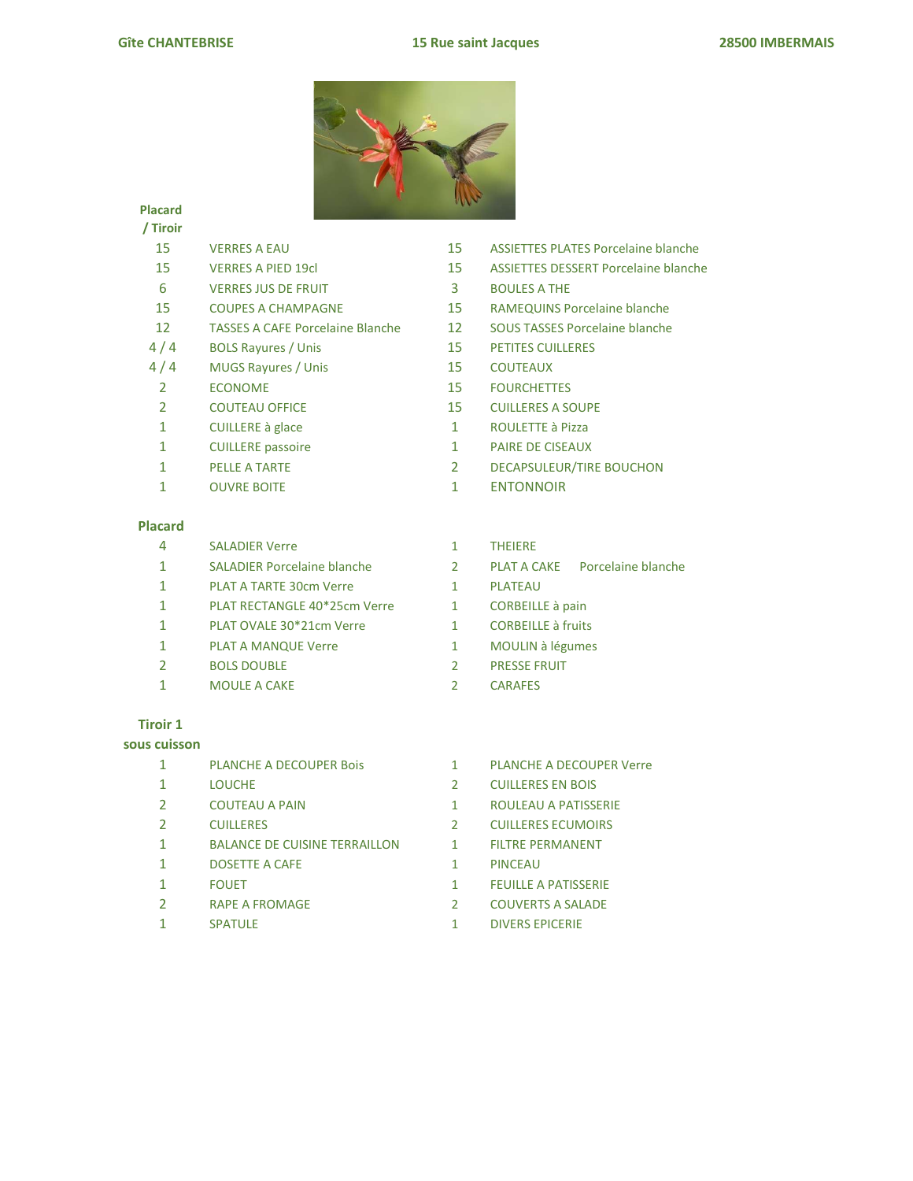

#### Placard / Tiroir

| .   |                     |
|-----|---------------------|
| -15 | <b>VERRES A EAU</b> |

- 
- 6 VERRES JUS DE FRUIT 3 BOULES A THE
- 
- 12 TASSES A CAFE Porcelaine Blanche 12 SOUS TASSES Porcelaine blanche
- 4 / 4 BOLS Rayures / Unis 15 PETITES CUILLERES
- 4 / 4 MUGS Rayures / Unis 15 COUTEAUX
- 2 ECONOME 15 FOURCHETTES
- 
- 1 CUILLERE à glace 1 ROULETTE à Pizza
- 1 CUILLERE passoire 1 PAIRE DE CISEAUX
- 
- 1 OUVRE BOITE 1 ENTONNOIR

# Placard

- 4 SALADIER Verre 1 THEIERE
- 
- 1 PLAT A TARTE 30cm Verre 1 PLATEAU
- 1 PLAT RECTANGLE 40\*25cm Verre 1 CORBEILLE à pain
- 1 PLAT OVALE 30\*21cm Verre 1 CORBEILLE à fruits
- 1 PLAT A MANQUE Verre 1 MOULIN à légumes
- 2 BOLS DOUBLE 2 PRESSE FRUIT
- 1 MOULE A CAKE 2 CARAFES

# Tiroir 1

## sous cuisson

- 
- 
- 
- 
- 1 BALANCE DE CUISINE TERRAILLON 1 FILTRE PERMANENT
- 1 DOSETTE A CAFE 1 PINCEAU
- 
- 2 RAPE A FROMAGE 2 COUVERTS A SALADE
- 
- 15 ASSIETTES PLATES Porcelaine blanche
- 15 VERRES A PIED 19cl 15 ASSIETTES DESSERT Porcelaine blanche
	-
- 15 COUPES A CHAMPAGNE 15 RAMEQUINS Porcelaine blanche
	-
	-
	-
	-
- 2 COUTEAU OFFICE 15 CUILLERES A SOUPE
	-
	-
- 1 PELLE A TARTE 2 DECAPSULEUR/TIRE BOUCHON
	-

- 1 SALADIER Porcelaine blanche 2 PLAT A CAKE Porcelaine blanche
	-
	-
	-
	-
	-
	-
- 1 PLANCHE A DECOUPER Bois 1 PLANCHE A DECOUPER Verre
- 1 LOUCHE 2 CUILLERES EN BOIS
- 2 COUTEAU A PAIN 1 ROULEAU A PATISSERIE
- 2 CUILLERES 2 CUILLERES ECUMOIRS
	-
	-
- 1 FOUET 1 FEUILLE A PATISSERIE
	-
- 1 SPATULE 1 DIVERS EPICERIE